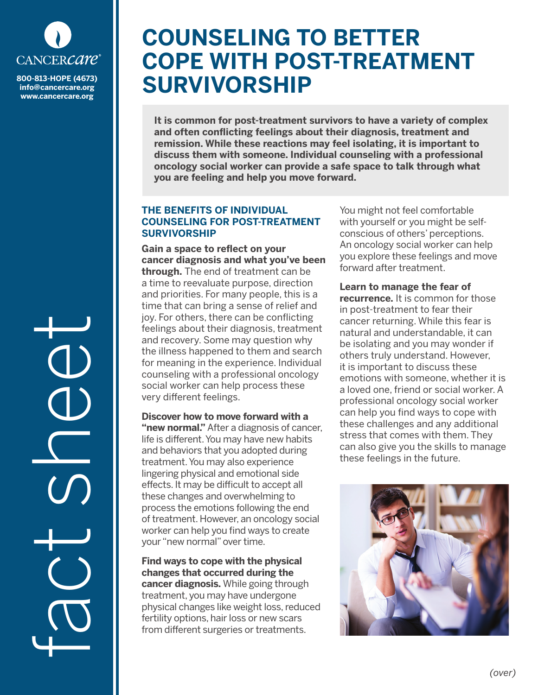

**info@cancercare.org www.cancercare.org**

# **COUNSELING TO BETTER COPE WITH POST-TREATMENT SOO-813-HOPE (4673)** SURVIVORSHIP

**It is common for post-treatment survivors to have a variety of complex and often conflicting feelings about their diagnosis, treatment and remission. While these reactions may feel isolating, it is important to discuss them with someone. Individual counseling with a professional oncology social worker can provide a safe space to talk through what you are feeling and help you move forward.**

# **THE BENEFITS OF INDIVIDUAL COUNSELING FOR POST-TREATMENT SURVIVORSHIP**

**Gain a space to reflect on your cancer diagnosis and what you've been through.** The end of treatment can be a time to reevaluate purpose, direction and priorities. For many people, this is a time that can bring a sense of relief and joy. For others, there can be conflicting feelings about their diagnosis, treatment and recovery. Some may question why the illness happened to them and search for meaning in the experience. Individual counseling with a professional oncology social worker can help process these very different feelings.

**Discover how to move forward with a "new normal."** After a diagnosis of cancer, life is different. You may have new habits and behaviors that you adopted during treatment. You may also experience lingering physical and emotional side effects. It may be difficult to accept all these changes and overwhelming to process the emotions following the end of treatment. However, an oncology social worker can help you find ways to create your "new normal" over time.

**Find ways to cope with the physical changes that occurred during the cancer diagnosis.** While going through treatment, you may have undergone physical changes like weight loss, reduced fertility options, hair loss or new scars from different surgeries or treatments.

You might not feel comfortable with yourself or you might be selfconscious of others' perceptions. An oncology social worker can help you explore these feelings and move forward after treatment.

**Learn to manage the fear of recurrence.** It is common for those in post-treatment to fear their cancer returning. While this fear is natural and understandable, it can be isolating and you may wonder if others truly understand. However, it is important to discuss these emotions with someone, whether it is a loved one, friend or social worker. A professional oncology social worker can help you find ways to cope with these challenges and any additional stress that comes with them. They can also give you the skills to manage these feelings in the future.



fact sheet